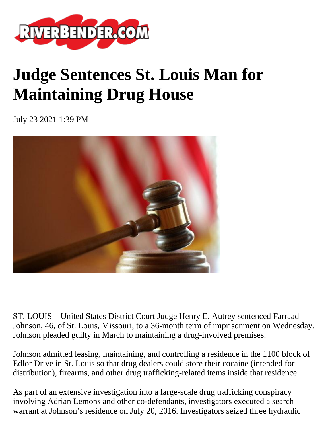

## **Judge Sentences St. Louis Man for Maintaining Drug House**

July 23 2021 1:39 PM



ST. LOUIS – United States District Court Judge Henry E. Autrey sentenced Farraad Johnson, 46, of St. Louis, Missouri, to a 36-month term of imprisonment on Wednesday. Johnson pleaded guilty in March to maintaining a drug-involved premises.

Johnson admitted leasing, maintaining, and controlling a residence in the 1100 block of Edlor Drive in St. Louis so that drug dealers could store their cocaine (intended for distribution), firearms, and other drug trafficking-related items inside that residence.

As part of an extensive investigation into a large-scale drug trafficking conspiracy involving Adrian Lemons and other co-defendants, investigators executed a search warrant at Johnson's residence on July 20, 2016. Investigators seized three hydraulic